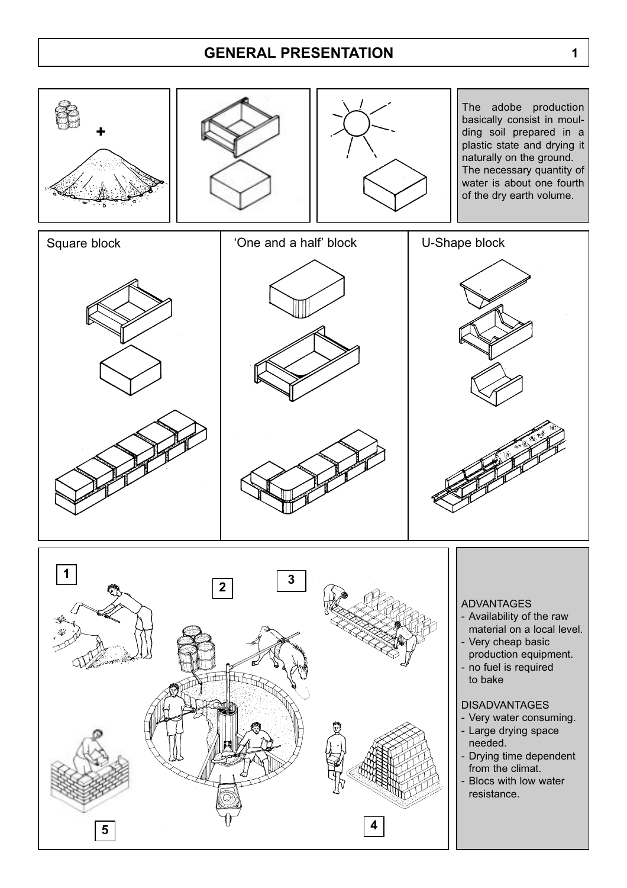### **GENERAL PRESENTATION**



**1**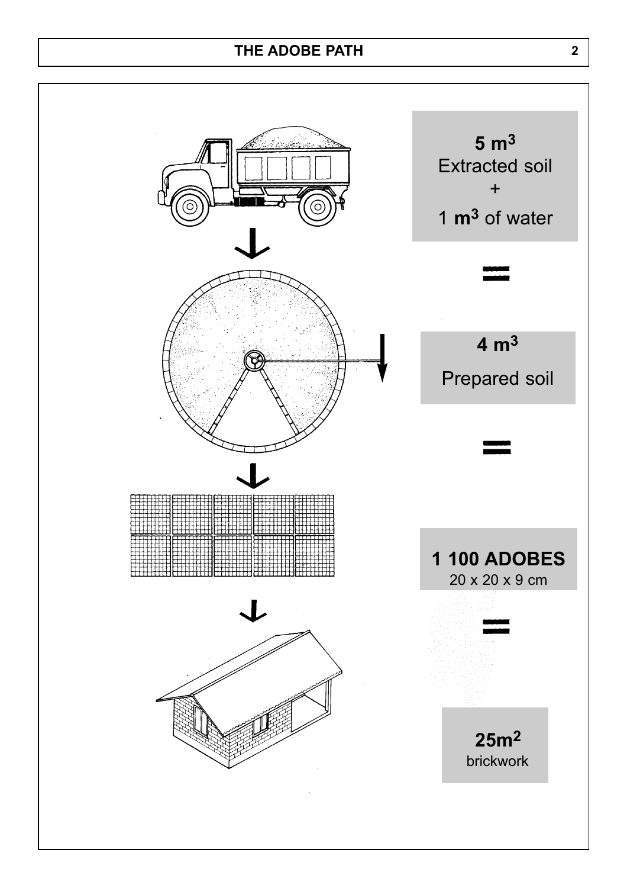# **THE ADOBE PATH 2**

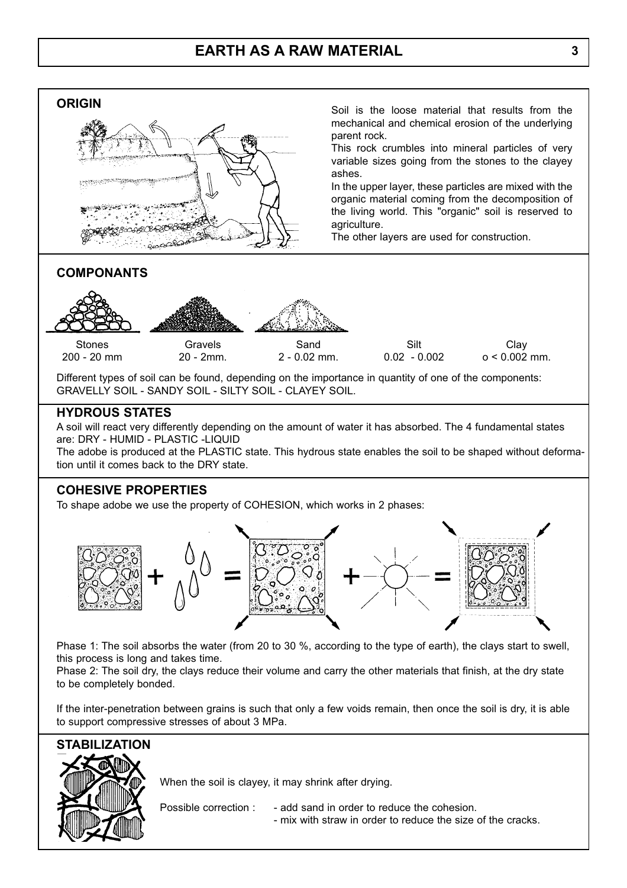#### **ORIGIN**



Soil is the loose material that results from the mechanical and chemical erosion of the underlying parent rock.

This rock crumbles into mineral particles of very variable sizes going from the stones to the clayey ashes.

In the upper layer, these particles are mixed with the organic material coming from the decomposition of the living world. This "organic" soil is reserved to agriculture.

The other layers are used for construction.

#### **COMPONANTS**



**Stones** 200 - 20 mm

Gravels 20 - 2mm.

Sand 2 - 0.02 mm.

Silt 0.02 - 0.002

**Clav**  $o < 0.002$  mm.

Different types of soil can be found, depending on the importance in quantity of one of the components: GRAVELLY SOIL - SANDY SOIL - SILTY SOIL - CLAYEY SOIL.

#### **HYDROUS STATES**

A soil will react very differently depending on the amount of water it has absorbed. The 4 fundamental states are: DRY - HUMID - PLASTIC -LIQUID

The adobe is produced at the PLASTIC state. This hydrous state enables the soil to be shaped without deformation until it comes back to the DRY state.

#### **COHESIVE PROPERTIES**

To shape adobe we use the property of COHESION, which works in 2 phases:



Phase 1: The soil absorbs the water (from 20 to 30 %, according to the type of earth), the clays start to swell, this process is long and takes time.

Phase 2: The soil dry, the clays reduce their volume and carry the other materials that finish, at the dry state to be completely bonded.

If the inter-penetration between grains is such that only a few voids remain, then once the soil is dry, it is able to support compressive stresses of about 3 MPa.



When the soil is clayey, it may shrink after drying.

- Possible correction : add sand in order to reduce the cohesion.
	- mix with straw in order to reduce the size of the cracks.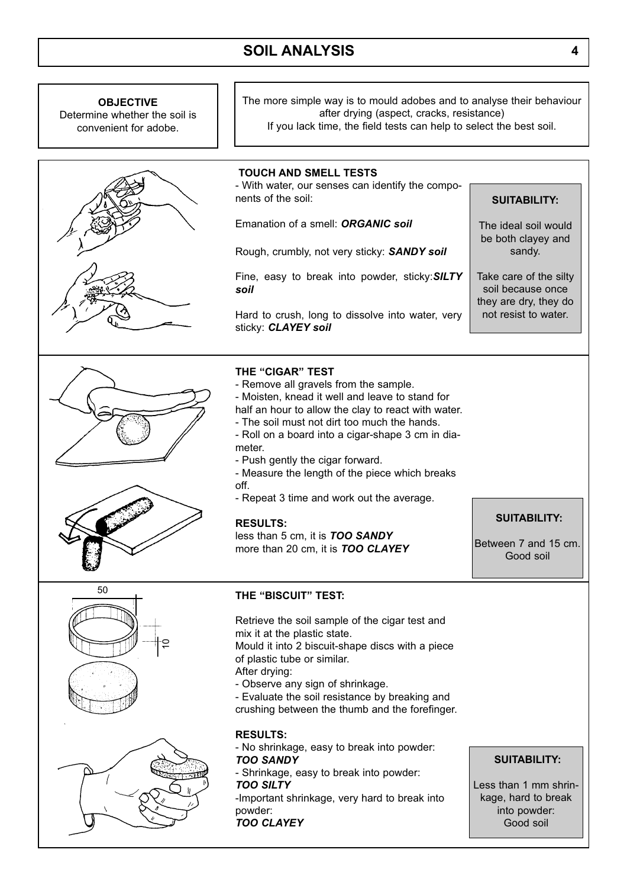## **SOIL ANALYSIS 4**

The more simple way is to mould adobes and to analyse their behaviour



**OBJECTIVE**

# **SUITABILITY:**

The ideal soil would be both clayey and sandy.

Take care of the silty soil because once they are dry, they do not resist to water.

Between 7 and 15 cm.

**SUITABILITY:**

Good soil

Retrieve the soil sample of the cigar test and

Mould it into 2 biscuit-shape discs with a piece

- Evaluate the soil resistance by breaking and crushing between the thumb and the forefinger.

- No shrinkage, easy to break into powder:

- Shrinkage, easy to break into powder:

-Important shrinkage, very hard to break into

#### **SUITABILITY:**

Less than 1 mm shrinkage, hard to break into powder: Good soil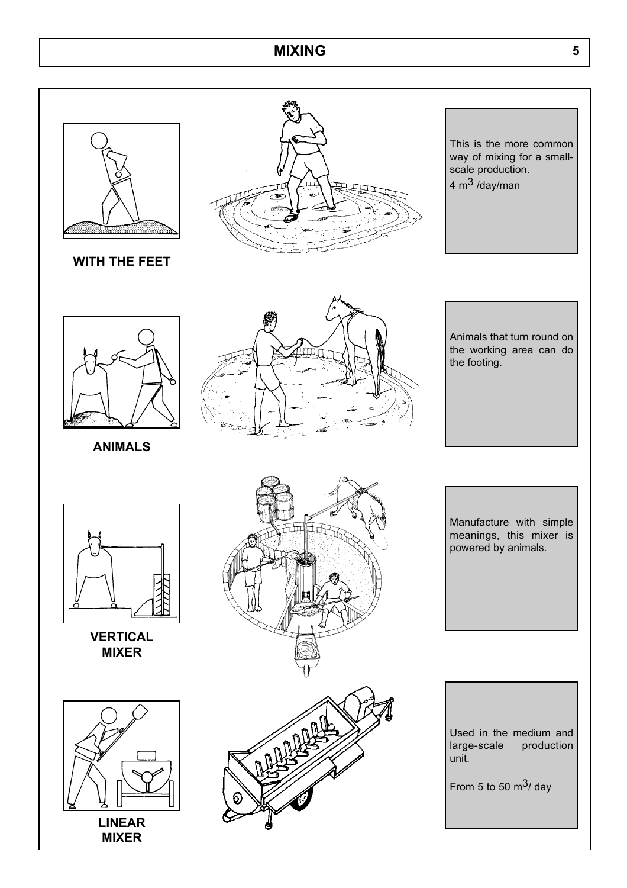## **MIXING 5**



**WITH THE FEET**



This is the more common way of mixing for a smallscale production. 4  $m<sup>3</sup>$ /day/man



**ANIMALS**



Animals that turn round on the working area can do the footing.



**VERTICAL MIXER**



**LINEAR MIXER**



Manufacture with simple meanings, this mixer is powered by animals.

Used in the medium and large-scale production unit.

From 5 to 50  $\mathrm{m}^{3}/\mathrm{day}$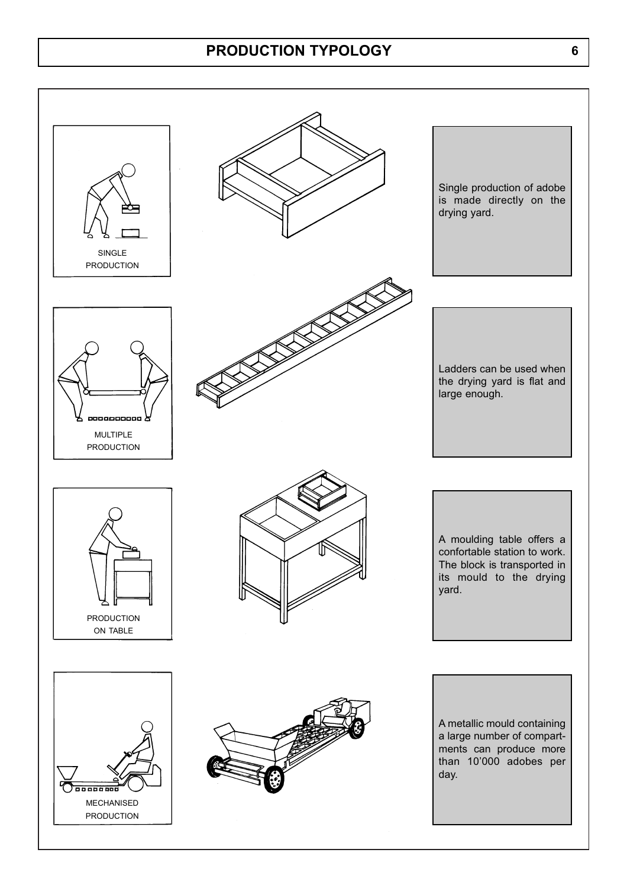### **PRODUCTION TYPOLOGY 6**

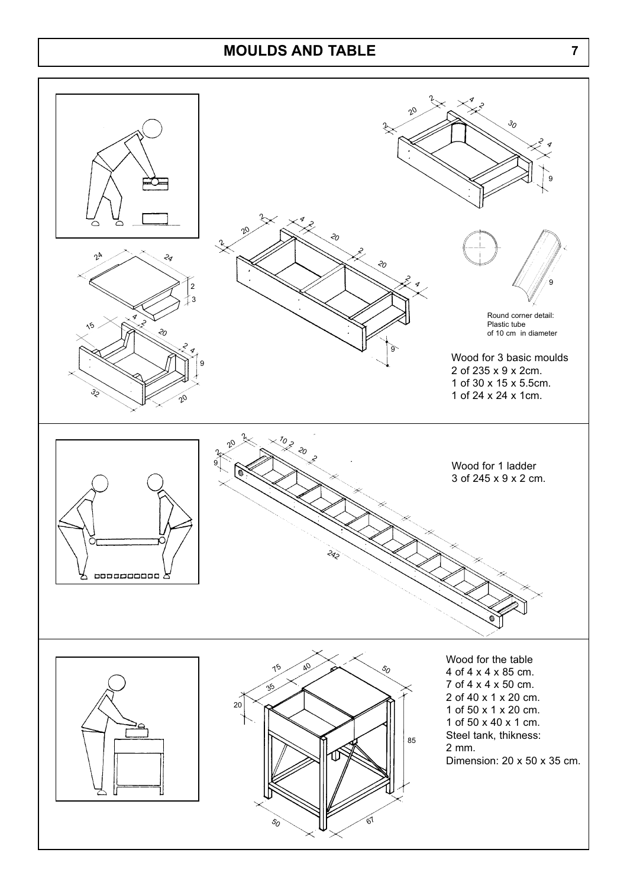### **MOULDS AND TABLE 7**

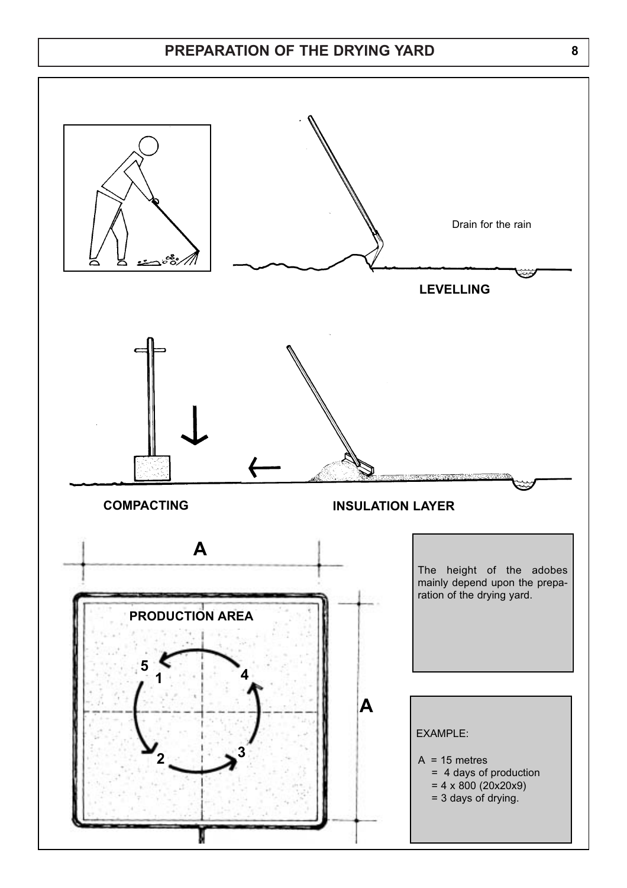### **PREPARATION OF THE DRYING YARD 8**

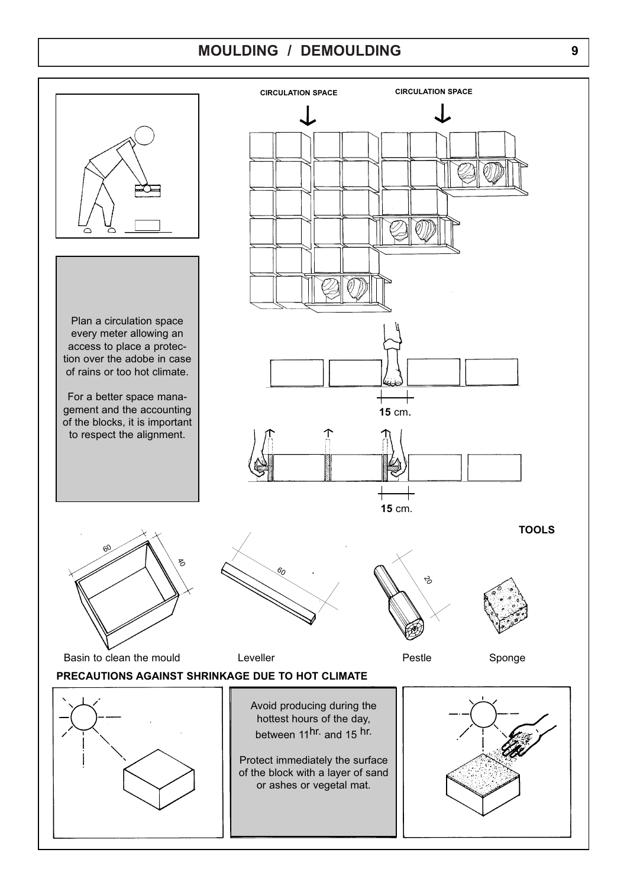## **MOULDING / DEMOULDING 9**

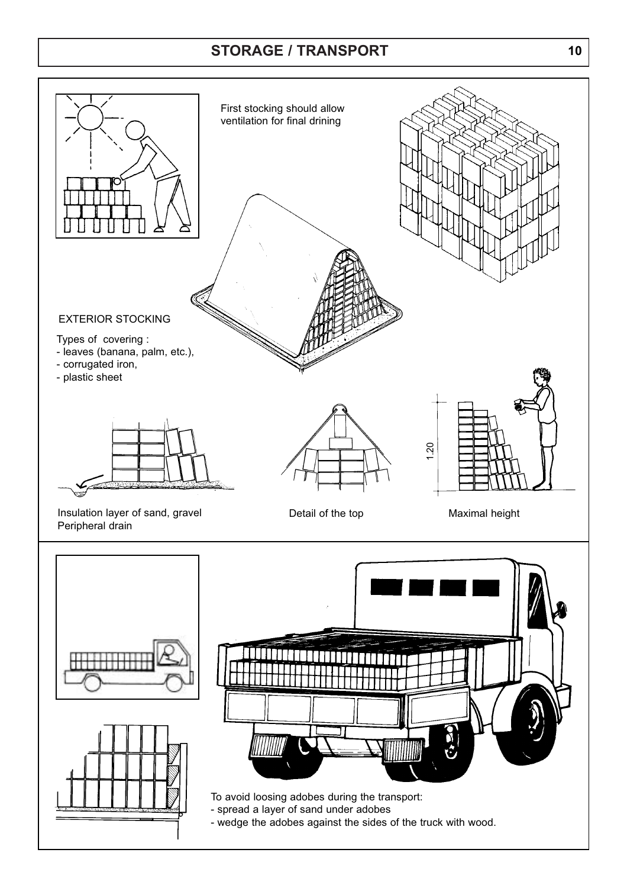## **STORAGE / TRANSPORT 10**

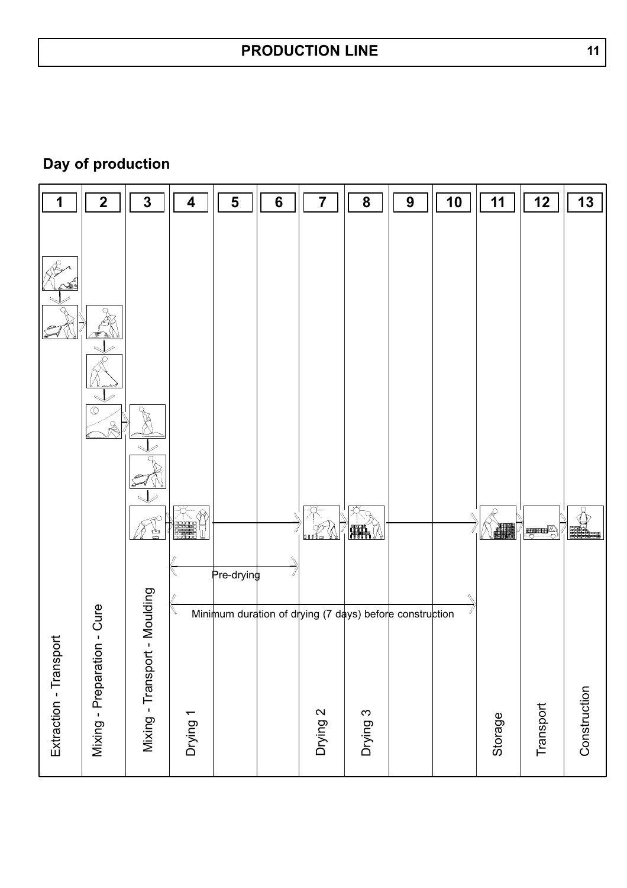**Day of production**

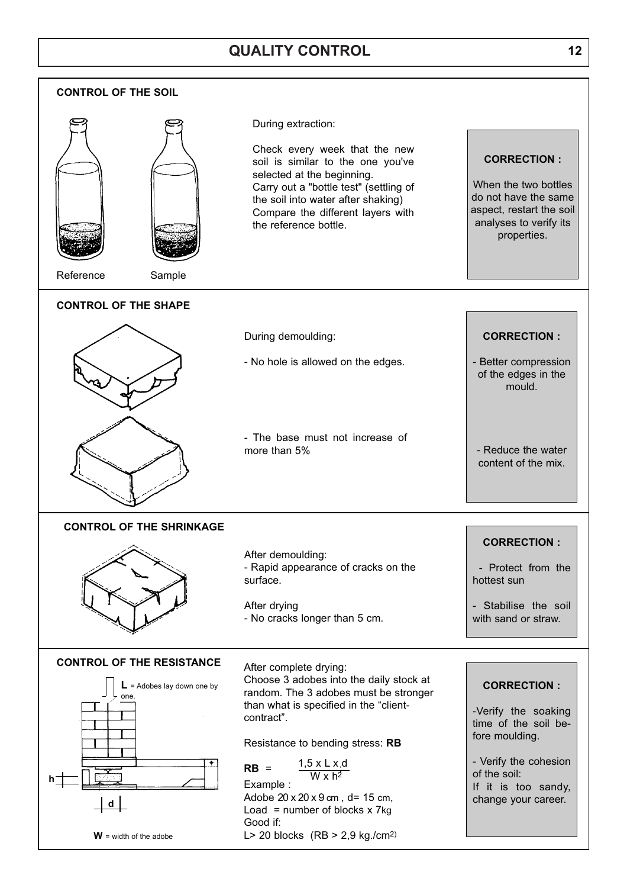## **QUALITY CONTROL 12**

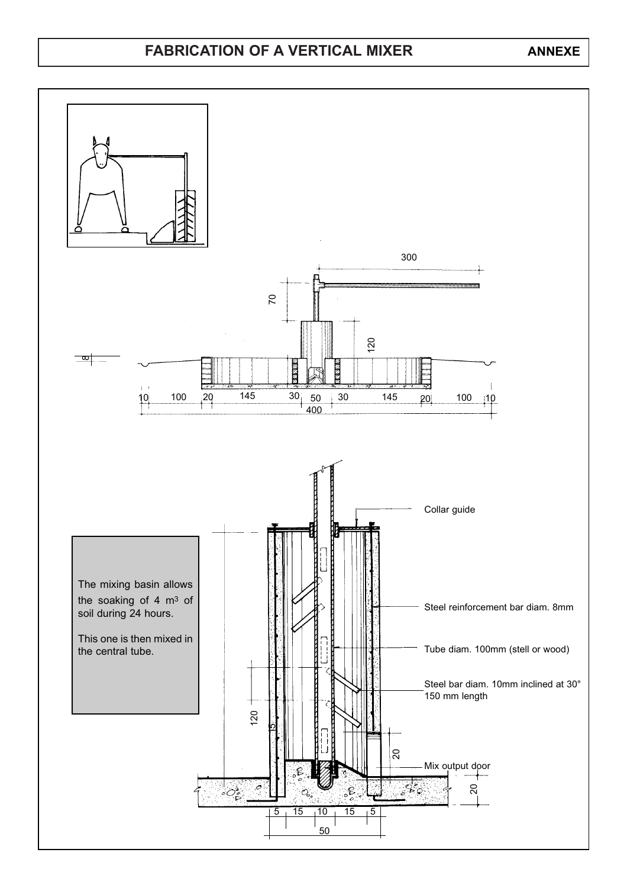#### **FABRICATION OF A VERTICAL MIXER ANNEXE**